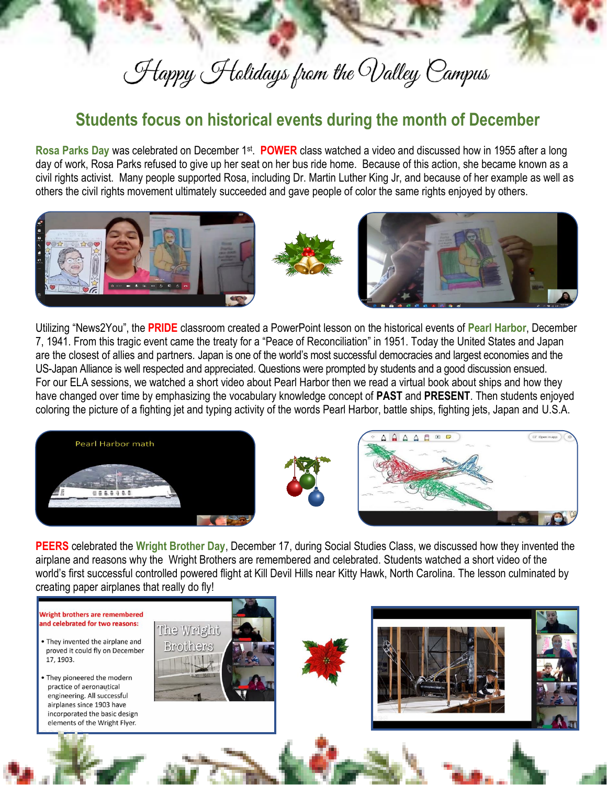## Happy Holidays from the Walley Campus

## **Students focus on historical events during the month of December**

Rosa Parks Day was celebrated on December 1<sup>st</sup>. POWER class watched a video and discussed how in 1955 after a long day of work, Rosa Parks refused to give up her seat on her bus ride home. Because of this action, she became known as a civil rights activist. Many people supported Rosa, including Dr. Martin Luther King Jr, and because of her example as well as others the civil rights movement ultimately succeeded and gave people of color the same rights enjoyed by others.



Utilizing "News2You", the **PRIDE** classroom created a PowerPoint lesson on the historical events of **Pearl Harbor**, December 7, 1941. From this tragic event came the treaty for a "Peace of Reconciliation" in 1951. Today the United States and Japan are the closest of allies and partners. Japan is one of the world's most successful democracies and largest economies and the US-Japan Alliance is well respected and appreciated. Questions were prompted by students and a good discussion ensued. For our ELA sessions, we watched a short video about Pearl Harbor then we read a virtual book about ships and how they have changed over time by emphasizing the vocabulary knowledge concept of **PAST** and **PRESENT**. Then students enjoyed coloring the picture of a fighting jet and typing activity of the words Pearl Harbor, battle ships, fighting jets, Japan and U.S.A.







**PEERS** celebrated the **Wright Brother Day**, December 17, during Social Studies Class, we discussed how they invented the airplane and reasons why the Wright Brothers are remembered and celebrated. Students watched a short video of the world's first successful controlled powered flight at Kill Devil Hills near Kitty Hawk, North Carolina. The lesson culminated by creating paper airplanes that really do fly!